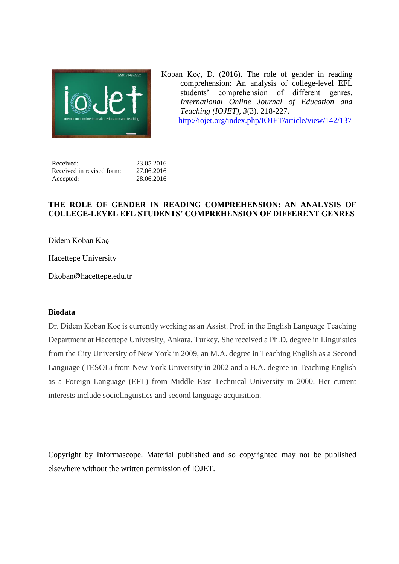

Koban Koç, D. (2016). The role of gender in reading comprehension: An analysis of college-level EFL students' comprehension of different genres. *International Online Journal of Education and Teaching (IOJET), 3*(3). 218-227. <http://iojet.org/index.php/IOJET/article/view/142/137>

| Received:                 | 23.05.2016 |
|---------------------------|------------|
| Received in revised form: | 27.06.2016 |
| Accepted:                 | 28.06.2016 |

## **THE ROLE OF GENDER IN READING COMPREHENSION: AN ANALYSIS OF COLLEGE-LEVEL EFL STUDENTS' COMPREHENSION OF DIFFERENT GENRES**

Didem Koban Koç

Hacettepe University

Dkoban@hacettepe.edu.tr

## **Biodata**

Dr. Didem Koban Koç is currently working as an Assist. Prof. in the English Language Teaching Department at Hacettepe University, Ankara, Turkey. She received a Ph.D. degree in Linguistics from the City University of New York in 2009, an M.A. degree in Teaching English as a Second Language (TESOL) from New York University in 2002 and a B.A. degree in Teaching English as a Foreign Language (EFL) from Middle East Technical University in 2000. Her current interests include sociolinguistics and second language acquisition.

Copyright by Informascope. Material published and so copyrighted may not be published elsewhere without the written permission of IOJET.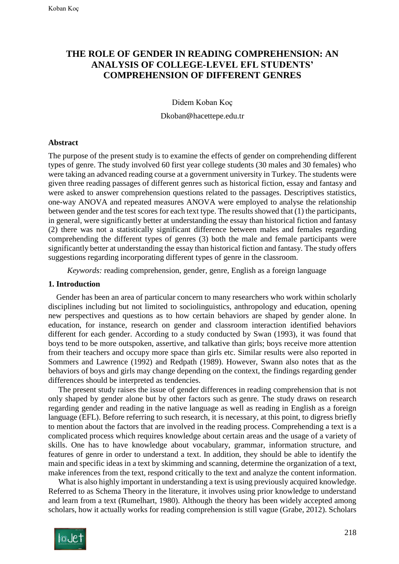# **THE ROLE OF GENDER IN READING COMPREHENSION: AN ANALYSIS OF COLLEGE-LEVEL EFL STUDENTS' COMPREHENSION OF DIFFERENT GENRES**

Didem Koban Koç

Dkoban@hacettepe.edu.tr

### **Abstract**

The purpose of the present study is to examine the effects of gender on comprehending different types of genre. The study involved 60 first year college students (30 males and 30 females) who were taking an advanced reading course at a government university in Turkey. The students were given three reading passages of different genres such as historical fiction, essay and fantasy and were asked to answer comprehension questions related to the passages. Descriptives statistics, one-way ANOVA and repeated measures ANOVA were employed to analyse the relationship between gender and the test scores for each text type. The results showed that (1) the participants, in general*,* were significantly better at understanding the essay than historical fiction and fantasy (2) there was not a statistically significant difference between males and females regarding comprehending the different types of genres (3) both the male and female participants were significantly better at understanding the essay than historical fiction and fantasy*.* The study offers suggestions regarding incorporating different types of genre in the classroom.

*Keywords:* reading comprehension, gender, genre, English as a foreign language

#### **1. Introduction**

 Gender has been an area of particular concern to many researchers who work within scholarly disciplines including but not limited to sociolinguistics, anthropology and education, opening new perspectives and questions as to how certain behaviors are shaped by gender alone. In education, for instance, research on gender and classroom interaction identified behaviors different for each gender. According to a study conducted by Swan (1993), it was found that boys tend to be more outspoken, assertive, and talkative than girls; boys receive more attention from their teachers and occupy more space than girls etc. Similar results were also reported in Sommers and Lawrence (1992) and Redpath (1989). However, Swann also notes that as the behaviors of boys and girls may change depending on the context, the findings regarding gender differences should be interpreted as tendencies.

 The present study raises the issue of gender differences in reading comprehension that is not only shaped by gender alone but by other factors such as genre. The study draws on research regarding gender and reading in the native language as well as reading in English as a foreign language (EFL). Before referring to such research, it is necessary, at this point, to digress briefly to mention about the factors that are involved in the reading process. Comprehending a text is a complicated process which requires knowledge about certain areas and the usage of a variety of skills. One has to have knowledge about vocabulary, grammar, information structure, and features of genre in order to understand a text. In addition, they should be able to identify the main and specific ideas in a text by skimming and scanning, determine the organization of a text, make inferences from the text, respond critically to the text and analyze the content information.

 What is also highly important in understanding a text is using previously acquired knowledge. Referred to as Schema Theory in the literature, it involves using prior knowledge to understand and learn from a text (Rumelhart, 1980). Although the theory has been widely accepted among scholars, how it actually works for reading comprehension is still vague (Grabe, 2012). Scholars

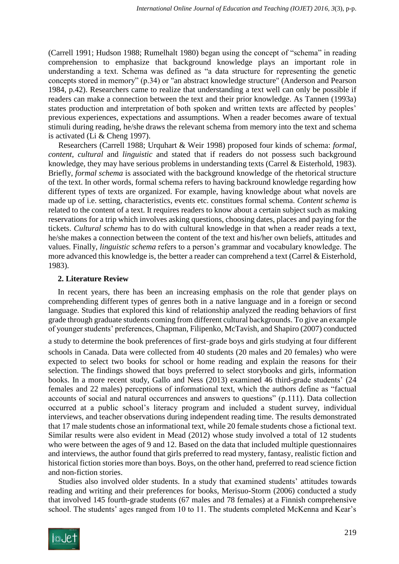(Carrell 1991; Hudson 1988; Rumelhalt 1980) began using the concept of "schema" in reading comprehension to emphasize that background knowledge plays an important role in understanding a text. Schema was defined as "a data structure for representing the genetic concepts stored in memory" (p.34) or "an abstract knowledge structure" (Anderson and Pearson 1984, p.42). Researchers came to realize that understanding a text well can only be possible if readers can make a connection between the text and their prior knowledge. As Tannen (1993a) states production and interpretation of both spoken and written texts are affected by peoples' previous experiences, expectations and assumptions. When a reader becomes aware of textual stimuli during reading, he/she draws the relevant schema from memory into the text and schema is activated (Li & Cheng 1997).

 Researchers (Carrell 1988; Urquhart & Weir 1998) proposed four kinds of schema: *formal*, *content*, *cultural* and *linguistic* and stated that if readers do not possess such background knowledge, they may have serious problems in understanding texts (Carrel & Eisterhold, 1983). Briefly, *formal schema* is associated with the background knowledge of the rhetorical structure of the text. In other words, formal schema refers to having backround knowledge regarding how different types of texts are organized. For example, having knowledge about what novels are made up of i.e. setting, characteristics, events etc. constitues formal schema. *Content schema* is related to the content of a text. It requires readers to know about a certain subject such as making reservations for a trip which involves asking questions, choosing dates, places and paying for the tickets. *Cultural schema* has to do with cultural knowledge in that when a reader reads a text, he/she makes a connection between the content of the text and his/her own beliefs, attitudes and values. Finally, *linguistic schema* refers to a person's grammar and vocabulary knowledge. The more advanced this knowledge is, the better a reader can comprehend a text (Carrel & Eisterhold, 1983).

## **2. Literature Review**

In recent years, there has been an increasing emphasis on the role that gender plays on comprehending different types of genres both in a native language and in a foreign or second language. Studies that explored this kind of relationship analyzed the reading behaviors of first grade through graduate students coming from different cultural backgrounds. To give an example of younger students' preferences, Chapman, Filipenko, McTavish, and Shapiro (2007) conducted

a study to determine the book preferences of first-grade boys and girls studying at four different schools in Canada. Data were collected from 40 students (20 males and 20 females) who were expected to select two books for school or home reading and explain the reasons for their selection. The findings showed that boys preferred to select storybooks and girls, information books. In a more recent study, Gallo and Ness (2013) examined 46 third-grade students' (24 females and 22 males) perceptions of informational text, which the authors define as "factual accounts of social and natural occurrences and answers to questions" (p.111). Data collection occurred at a public school's literacy program and included a student survey, individual interviews, and teacher observations during independent reading time. The results demonstrated that 17 male students chose an informational text, while 20 female students chose a fictional text. Similar results were also evident in Mead (2012) whose study involved a total of 12 students who were between the ages of 9 and 12. Based on the data that included multiple questionnaires and interviews, the author found that girls preferred to read mystery, fantasy, realistic fiction and historical fiction stories more than boys. Boys, on the other hand, preferred to read science fiction and non-fiction stories.

 Studies also involved older students. In a study that examined students' attitudes towards reading and writing and their preferences for books, Merisuo-Storm (2006) conducted a study that involved 145 fourth-grade students (67 males and 78 females) at a Finnish comprehensive school. The students' ages ranged from 10 to 11. The students completed McKenna and Kear's

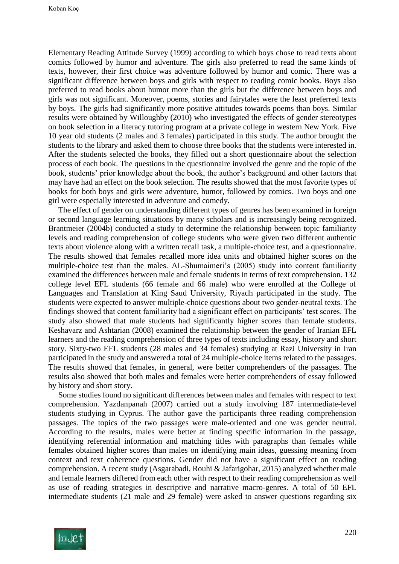Elementary Reading Attitude Survey (1999) according to which boys chose to read texts about comics followed by humor and adventure. The girls also preferred to read the same kinds of texts, however, their first choice was adventure followed by humor and comic. There was a significant difference between boys and girls with respect to reading comic books. Boys also preferred to read books about humor more than the girls but the difference between boys and girls was not significant. Moreover, poems, stories and fairytales were the least preferred texts by boys. The girls had significantly more positive attitudes towards poems than boys. Similar results were obtained by Willoughby (2010) who investigated the effects of gender stereotypes on book selection in a literacy tutoring program at a private college in western New York. Five 10 year old students (2 males and 3 females) participated in this study. The author brought the students to the library and asked them to choose three books that the students were interested in. After the students selected the books, they filled out a short questionnaire about the selection process of each book. The questions in the questionnaire involved the genre and the topic of the book, students' prior knowledge about the book, the author's background and other factors that may have had an effect on the book selection. The results showed that the most favorite types of books for both boys and girls were adventure, humor, followed by comics. Two boys and one girl were especially interested in adventure and comedy.

 The effect of gender on understanding different types of genres has been examined in foreign or second language learning situations by many scholars and is increasingly being recognized. Brantmeier (2004b) conducted a study to determine the relationship between topic familiarity levels and reading comprehension of college students who were given two different authentic texts about violence along with a written recall task, a multiple-choice test, and a questionnaire. The results showed that females recalled more idea units and obtained higher scores on the multiple-choice test than the males. AL-Shumaimeri's (2005) study into content familiarity examined the differences between male and female students in terms of text comprehension. 132 college level EFL students (66 female and 66 male) who were enrolled at the College of Languages and Translation at King Saud University, Riyadh participated in the study. The students were expected to answer multiple-choice questions about two gender-neutral texts. The findings showed that content familiarity had a significant effect on participants' test scores. The study also showed that male students had significantly higher scores than female students. Keshavarz and Ashtarian (2008) examined the relationship between the gender of Iranian EFL learners and the reading comprehension of three types of texts including essay, history and short story. Sixty-two EFL students (28 males and 34 females) studying at Razi University in Iran participated in the study and answered a total of 24 multiple-choice items related to the passages. The results showed that females, in general, were better comprehenders of the passages. The results also showed that both males and females were better comprehenders of essay followed by history and short story.

 Some studies found no significant differences between males and females with respect to text comprehension. Yazdanpanah (2007) carried out a study involving 187 intermediate-level students studying in Cyprus. The author gave the participants three reading comprehension passages. The topics of the two passages were male-oriented and one was gender neutral. According to the results, males were better at finding specific information in the passage, identifying referential information and matching titles with paragraphs than females while females obtained higher scores than males on identifying main ideas, guessing meaning from context and text coherence questions. Gender did not have a significant effect on reading comprehension. A recent study (Asgarabadi, Rouhi & Jafarigohar, 2015) analyzed whether male and female learners differed from each other with respect to their reading comprehension as well as use of reading strategies in descriptive and narrative macro-genres. A total of 50 EFL intermediate students (21 male and 29 female) were asked to answer questions regarding six

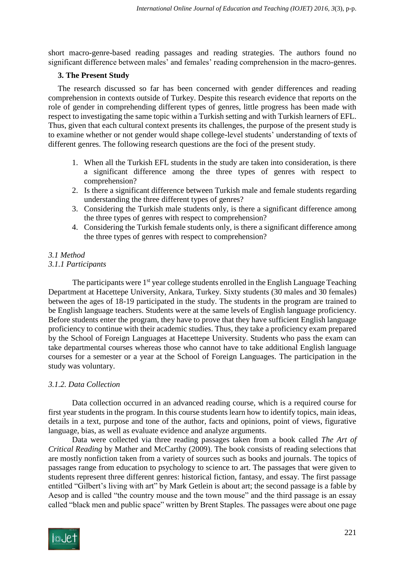short macro-genre-based reading passages and reading strategies. The authors found no significant difference between males' and females' reading comprehension in the macro-genres.

# **3. The Present Study**

The research discussed so far has been concerned with gender differences and reading comprehension in contexts outside of Turkey. Despite this research evidence that reports on the role of gender in comprehending different types of genres, little progress has been made with respect to investigating the same topic within a Turkish setting and with Turkish learners of EFL. Thus, given that each cultural context presents its challenges, the purpose of the present study is to examine whether or not gender would shape college-level students' understanding of texts of different genres. The following research questions are the foci of the present study.

- 1. When all the Turkish EFL students in the study are taken into consideration, is there a significant difference among the three types of genres with respect to comprehension?
- 2. Is there a significant difference between Turkish male and female students regarding understanding the three different types of genres?
- 3. Considering the Turkish male students only, is there a significant difference among the three types of genres with respect to comprehension?
- 4. Considering the Turkish female students only, is there a significant difference among the three types of genres with respect to comprehension?

## *3.1 Method 3.1.1 Participants*

The participants were 1<sup>st</sup> year college students enrolled in the English Language Teaching Department at Hacettepe University, Ankara, Turkey. Sixty students (30 males and 30 females) between the ages of 18-19 participated in the study. The students in the program are trained to be English language teachers. Students were at the same levels of English language proficiency. Before students enter the program, they have to prove that they have sufficient English language proficiency to continue with their academic studies. Thus, they take a proficiency exam prepared by the School of Foreign Languages at Hacettepe University. Students who pass the exam can take departmental courses whereas those who cannot have to take additional English language courses for a semester or a year at the School of Foreign Languages. The participation in the study was voluntary.

# *3.1.2. Data Collection*

Data collection occurred in an advanced reading course, which is a required course for first year students in the program. In this course students learn how to identify topics, main ideas, details in a text, purpose and tone of the author, facts and opinions, point of views, figurative language, bias, as well as evaluate evidence and analyze arguments.

Data were collected via three reading passages taken from a book called *The Art of Critical Reading* by Mather and McCarthy (2009). The book consists of reading selections that are mostly nonfiction taken from a variety of sources such as books and journals. The topics of passages range from education to psychology to science to art. The passages that were given to students represent three different genres: historical fiction, fantasy, and essay. The first passage entitled "Gilbert's living with art" by Mark Getlein is about art; the second passage is a fable by Aesop and is called "the country mouse and the town mouse" and the third passage is an essay called "black men and public space" written by Brent Staples. The passages were about one page

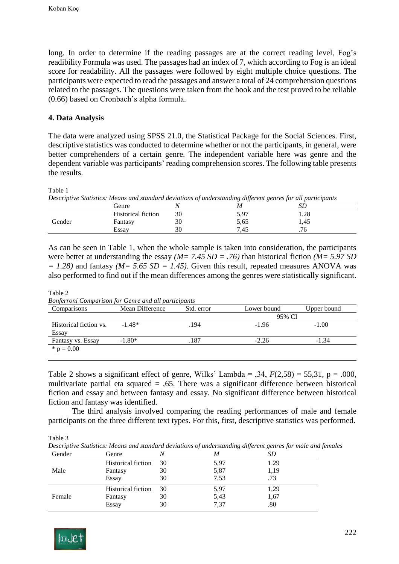long. In order to determine if the reading passages are at the correct reading level, Fog's readibility Formula was used. The passages had an index of 7, which according to Fog is an ideal score for readability. All the passages were followed by eight multiple choice questions. The participants were expected to read the passages and answer a total of 24 comprehension questions related to the passages. The questions were taken from the book and the test proved to be reliable (0.66) based on Cronbach's alpha formula.

## **4. Data Analysis**

The data were analyzed using SPSS 21.0*,* the Statistical Package for the Social Sciences. First, descriptive statistics was conducted to determine whether or not the participants, in general, were better comprehenders of a certain genre. The independent variable here was genre and the dependent variable was participants' reading comprehension scores. The following table presents the results.

#### Table 1

*Descriptive Statistics: Means and standard deviations of understanding different genres for all participants*

|        | Genre                     |          | M                 | ىرر        |
|--------|---------------------------|----------|-------------------|------------|
|        | <b>Historical fiction</b> | 30       | 5 Q7<br>ション       | ററ<br>1.20 |
| Gender | Fantasy                   | 30       | 5,65              | 1,45       |
|        | Essav                     | າດ<br>υc | $\Lambda$<br>ر ⊤. | .70        |

As can be seen in Table 1, when the whole sample is taken into consideration, the participants were better at understanding the essay *(M= 7.45 SD = .76)* than historical fiction *(M= 5.97 SD*  $= 1.28$ ) and fantasy *(M= 5.65 SD = 1.45)*. Given this result, repeated measures ANOVA was also performed to find out if the mean differences among the genres were statistically significant.

Table 2

*Bonferroni Comparison for Genre and all participants*

| Mean Difference | Std. error | Lower bound | Upper bound |
|-----------------|------------|-------------|-------------|
|                 |            | 95% CI      |             |
| $-1.48*$        | .194       | $-1.96$     | $-1.00$     |
| $-1.80*$        | .187       | $-2.26$     | -1.34       |
|                 |            |             |             |

Table 2 shows a significant effect of genre, Wilks' Lambda =  $,34, F(2,58) = 55,31, p = .000,$ multivariate partial eta squared = ,65. There was a significant difference between historical fiction and essay and between fantasy and essay. No significant difference between historical fiction and fantasy was identified.

The third analysis involved comparing the reading performances of male and female participants on the three different text types. For this, first, descriptive statistics was performed.

Table 3

*Descriptive Statistics: Means and standard deviations of understanding different genres for male and females*

| Gender | Genre                     |    |      | SD   |
|--------|---------------------------|----|------|------|
| Male   | <b>Historical fiction</b> | 30 | 5,97 | 1.29 |
|        | Fantasy                   | 30 | 5,87 | 1,19 |
|        | Essay                     | 30 | 7.53 | .73  |
|        | <b>Historical fiction</b> | 30 | 5,97 | 1,29 |
| Female | Fantasy                   | 30 | 5,43 | 1,67 |
|        | Essay                     | 30 | 7,37 | .80  |

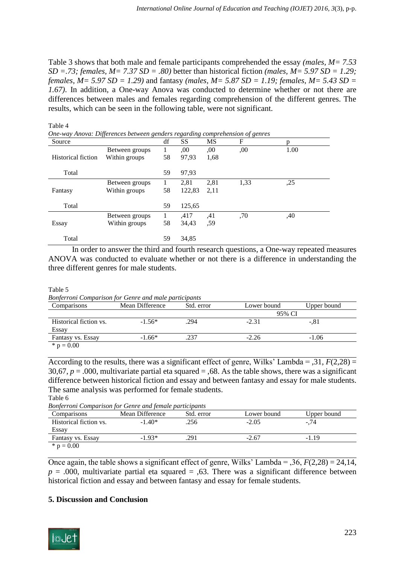Table 3 shows that both male and female participants comprehended the essay *(males, M= 7.53 SD* =  $.73$ ; *females, M* =  $7.37$  *SD* =  $.80$ ) better than historical fiction *(males, M* =  $5.97$  *SD* =  $1.29$ ; *females, M= 5.97 SD = 1.29)* and fantasy *(males, M= 5.87 SD = 1.19; females, M= 5.43 SD = 1.67)*. In addition, a One-way Anova was conducted to determine whether or not there are differences between males and females regarding comprehension of the different genres. The results, which can be seen in the following table, were not significant.

| Source             |                | df           | SS     | MS   | F    | n    |
|--------------------|----------------|--------------|--------|------|------|------|
|                    | Between groups | L            | ,00    | .00. | .00  | 1.00 |
| Historical fiction | Within groups  | 58           | 97,93  | 1,68 |      |      |
| Total              |                | 59           | 97,93  |      |      |      |
|                    | Between groups | $\mathbf{I}$ | 2,81   | 2,81 | 1,33 | ,25  |
| Fantasy            | Within groups  | 58           | 122,83 | 2,11 |      |      |
| Total              |                | 59           | 125,65 |      |      |      |
|                    | Between groups |              | .417   | .41  | ,70  | .40  |
| Essay              | Within groups  | 58           | 34,43  | ,59  |      |      |
| Total              |                | 59           | 34,85  |      |      |      |

In order to answer the third and fourth research questions, a One-way repeated measures ANOVA was conducted to evaluate whether or not there is a difference in understanding the three different genres for male students.

#### Table 5

Table 4

*Bonferroni Comparison for Genre and male participants*

| Comparisons            | Mean Difference | Std. error | Lower bound | Upper bound |
|------------------------|-----------------|------------|-------------|-------------|
|                        |                 | 95% CI     |             |             |
| Historical fiction vs. | $-1.56*$        | .294       | $-2.31$     | $-.81$      |
| Essay                  |                 |            |             |             |
| Fantasy vs. Essay      | $-1.66*$        | .237       | $-2.26$     | $-1.06$     |
| * $p = 0.00$           |                 |            |             |             |

According to the results, there was a significant effect of genre, Wilks' Lambda =  $,31, F(2,28) =$ 30,67,  $p = .000$ , multivariate partial eta squared  $= .68$ . As the table shows, there was a significant difference between historical fiction and essay and between fantasy and essay for male students. The same analysis was performed for female students. Table 6

*Bonferroni Comparison for Genre and female participants*

| <b>Donerront Comparison for Genre and female participants</b> |                 |            |             |             |
|---------------------------------------------------------------|-----------------|------------|-------------|-------------|
| Comparisons                                                   | Mean Difference | Std. error | Lower bound | Upper bound |
| Historical fiction vs.                                        | $-1.40*$        | .256       | $-2.05$     | $-.74$      |
| Essay                                                         |                 |            |             |             |
| Fantasy vs. Essay                                             | $-1.93*$        | 291        | $-2.67$     | $-1.19$     |
| * $p = 0.00$                                                  |                 |            |             |             |

Once again, the table shows a significant effect of genre, Wilks' Lambda =  $,36, F(2,28) = 24,14,$  $p = .000$ , multivariate partial eta squared = ,63. There was a significant difference between historical fiction and essay and between fantasy and essay for female students.

# **5. Discussion and Conclusion**

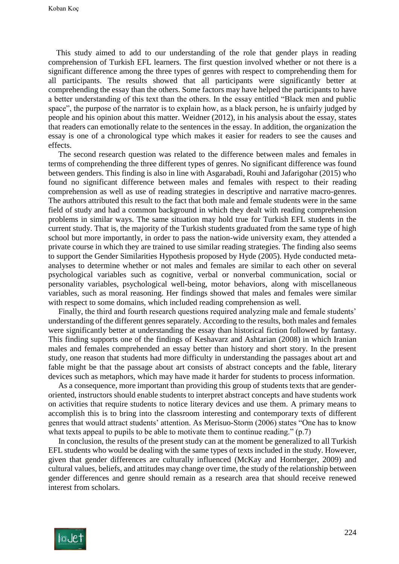Koban Koç

 This study aimed to add to our understanding of the role that gender plays in reading comprehension of Turkish EFL learners. The first question involved whether or not there is a significant difference among the three types of genres with respect to comprehending them for all participants. The results showed that all participants were significantly better at comprehending the essay than the others. Some factors may have helped the participants to have a better understanding of this text than the others. In the essay entitled "Black men and public space", the purpose of the narrator is to explain how, as a black person, he is unfairly judged by people and his opinion about this matter. Weidner (2012), in his analysis about the essay, states that readers can emotionally relate to the sentences in the essay. In addition, the organization the essay is one of a chronological type which makes it easier for readers to see the causes and effects.

 The second research question was related to the difference between males and females in terms of comprehending the three different types of genres. No significant difference was found between genders. This finding is also in line with Asgarabadi, Rouhi and Jafarigohar (2015) who found no significant difference between males and females with respect to their reading comprehension as well as use of reading strategies in descriptive and narrative macro-genres. The authors attributed this result to the fact that both male and female students were in the same field of study and had a common background in which they dealt with reading comprehension problems in similar ways. The same situation may hold true for Turkish EFL students in the current study. That is, the majority of the Turkish students graduated from the same type of high school but more importantly, in order to pass the nation-wide university exam, they attended a private course in which they are trained to use similar reading strategies. The finding also seems to support the Gender Similarities Hypothesis proposed by Hyde (2005). Hyde conducted metaanalyses to determine whether or not males and females are similar to each other on several psychological variables such as cognitive, verbal or nonverbal communication, social or personality variables, psychological well-being, motor behaviors, along with miscellaneous variables, such as moral reasoning. Her findings showed that males and females were similar with respect to some domains, which included reading comprehension as well.

 Finally, the third and fourth research questions required analyzing male and female students' understanding of the different genres separately. According to the results, both males and females were significantly better at understanding the essay than historical fiction followed by fantasy. This finding supports one of the findings of Keshavarz and Ashtarian (2008) in which Iranian males and females comprehended an essay better than history and short story. In the present study, one reason that students had more difficulty in understanding the passages about art and fable might be that the passage about art consists of abstract concepts and the fable, literary devices such as metaphors, which may have made it harder for students to process information.

 As a consequence, more important than providing this group of students texts that are genderoriented, instructors should enable students to interpret abstract concepts and have students work on activities that require students to notice literary devices and use them. A primary means to accomplish this is to bring into the classroom interesting and contemporary texts of different genres that would attract students' attention. As Merisuo-Storm (2006) states "One has to know what texts appeal to pupils to be able to motivate them to continue reading." (p.7)

 In conclusion, the results of the present study can at the moment be generalized to all Turkish EFL students who would be dealing with the same types of texts included in the study. However, given that gender differences are culturally influenced (McKay and Hornberger, 2009) and cultural values, beliefs, and attitudes may change over time, the study of the relationship between gender differences and genre should remain as a research area that should receive renewed interest from scholars.

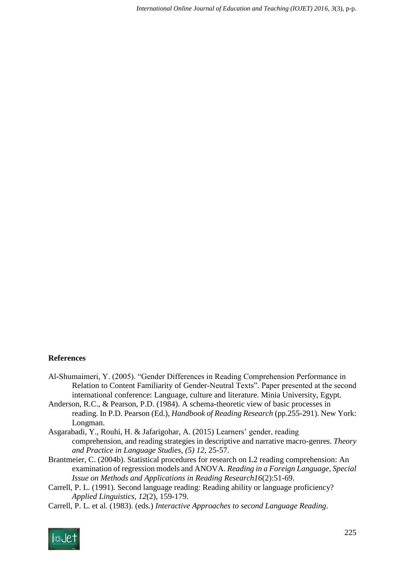#### **References**

- Al-Shumaimeri, Y. (2005). "Gender Differences in Reading Comprehension Performance in Relation to Content Familiarity of Gender-Neutral Texts". Paper presented at the second international conference: Language, culture and literature. Minia University, Egypt.
- Anderson, R.C., & Pearson, P.D. (1984). A schema-theoretic view of basic processes in reading. In P.D. Pearson (Ed.), *Handbook of Reading Research* (pp.255-291). New York: Longman.
- Asgarabadi, Y., Rouhi, H. & Jafarigohar, A. (2015) Learners' gender, reading comprehension, and reading strategies in descriptive and narrative macro-genres. *Theory and Practice in Language Studies*, *(5) 12*, 25-57.
- Brantmeier, C. (2004b). Statistical procedures for research on L2 reading comprehension: An examination of regression models and ANOVA. *Reading in a Foreign Language, Special Issue on Methods and Applications in Reading Research16*(2):51-69.
- Carrell, P. L. (1991). Second language reading: Reading ability or language proficiency? *Applied Linguistics, 12*(2), 159-179.
- Carrell, P. L. et al. (1983). (eds.) *Interactive Approaches to second Language Reading*.

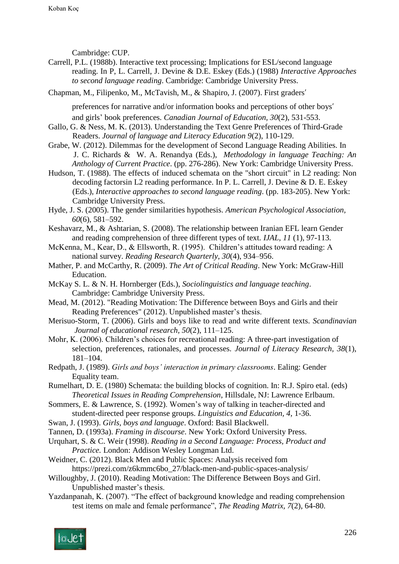Cambridge: CUP.

Carrell, P.L. (1988b). Interactive text processing; Implications for ESL/second language reading. In P, L. Carrell, J. Devine & D.E. Eskey (Eds.) (1988) *Interactive Approaches to second language reading*. Cambridge: Cambridge University Press.

Chapman, M., Filipenko, M., McTavish, M., & Shapiro, J. (2007). First graders'

preferences for narrative and/or information books and perceptions of other boys' and girls' book preferences. *Canadian Journal of Education, 30*(2), 531-553.

- Gallo, G. & Ness, M. K. (2013). Understanding the Text Genre Preferences of Third-Grade Readers. *Journal of language and Literacy Education 9*(2), 110-129.
- Grabe, W. (2012). Dilemmas for the development of Second Language Reading Abilities. In J. C. Richards & W. A. Renandya (Eds.), *Methodology in language Teaching: An Anthology of Current Practice*. (pp. 276-286). New York: Cambridge University Press.

Hudson, T. (1988). The effects of induced schemata on the "short circuit" in L2 reading: Non decoding factorsin L2 reading performance. In P. L. Carrell, J. Devine & D. E. Eskey (Eds.), *Interactive approaches to second language reading*. (pp. 183-205). New York: Cambridge University Press.

- Hyde, J. S. (2005). The gender similarities hypothesis. *American Psychological Association, 60*(6), 581–592.
- Keshavarz, M., & Ashtarian, S. (2008). The relationship between Iranian EFL learn Gender and reading comprehension of three different types of text. *IJAL, 11* (1), 97-113.

McKenna, M., Kear, D., & Ellsworth, R. (1995). Children's attitudes toward reading: A national survey. *Reading Research Quarterly, 30*(4), 934–956.

- Mather, P. and McCarthy, R. (2009). *The Art of Critical Reading*. New York: McGraw-Hill Education.
- McKay S. L. & N. H. Hornberger (Eds.), *Sociolinguistics and language teaching*. Cambridge: Cambridge University Press.
- Mead, M. (2012). "Reading Motivation: The Difference between Boys and Girls and their Reading Preferences" (2012). Unpublished master's thesis.
- Merisuo-Storm, T. (2006). Girls and boys like to read and write different texts. *Scandinavian Journal of educational research, 50*(2), 111–125.
- Mohr, K. (2006). Children's choices for recreational reading: A three-part investigation of selection, preferences, rationales, and processes. *Journal of Literacy Research, 38*(1), 181–104.
- Redpath, J. (1989). *Girls and boys' interaction in primary classrooms*. Ealing: Gender Equality team.
- Rumelhart, D. E. (1980) Schemata: the building blocks of cognition. In: R.J. Spiro etal. (eds) *Theoretical Issues in Reading Comprehension*, Hillsdale, NJ: Lawrence Erlbaum.
- Sommers, E. & Lawrence, S. (1992). Women's way of talking in teacher-directed and student-directed peer response groups. *Linguistics and Education, 4*, 1-36.
- Swan, J. (1993). *Girls, boys and language*. Oxford: Basil Blackwell.

Tannen, D. (1993a). *Framing in discourse*. New York: Oxford University Press.

- Urquhart, S. & C. Weir (1998). *Reading in a Second Language: Process, Product and Practice.* London: Addison Wesley Longman Ltd.
- Weidner, C. (2012). Black Men and Public Spaces: Analysis received fom https://prezi.com/z6kmmc6bo\_27/black-men-and-public-spaces-analysis/
- Willoughby, J. (2010). Reading Motivation: The Difference Between Boys and Girl. Unpublished master's thesis.
- Yazdanpanah, K. (2007). "The effect of background knowledge and reading comprehension test items on male and female performance", *The Reading Matrix, 7*(2), 64-80.